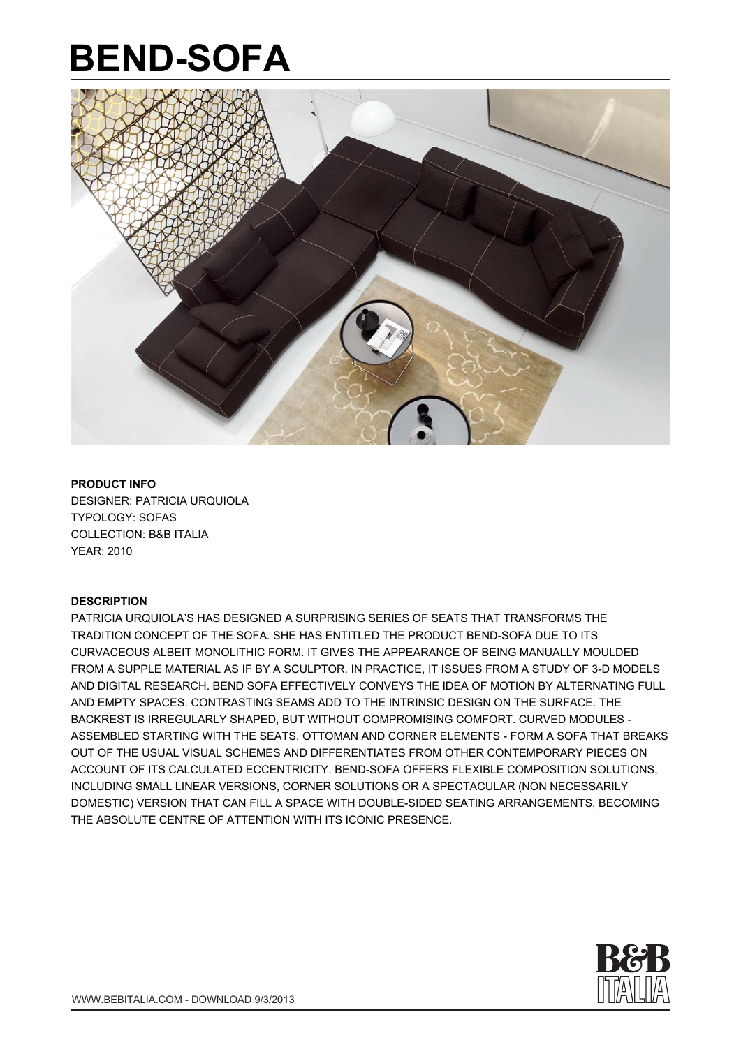

#### **PRODUCT INFO**

DESIGNER: PATRICIA URQUIOLA TYPOLOGY: SOFAS COLLECTION: B&B ITALIA YEAR: 2010

#### **DESCRIPTION**

PATRICIA URQUIOLA'S HAS DESIGNED A SURPRISING SERIES OF SEATS THAT TRANSFORMS THE TRADITION CONCEPT OF THE SOFA. SHE HAS ENTITLED THE PRODUCT BEND-SOFA DUE TO ITS CURVACEOUS ALBEIT MONOLITHIC FORM. IT GIVES THE APPEARANCE OF BEING MANUALLY MOULDED FROM A SUPPLE MATERIAL AS IF BY A SCULPTOR. IN PRACTICE, IT ISSUES FROM A STUDY OF 3-D MODELS AND DIGITAL RESEARCH. BEND SOFA EFFECTIVELY CONVEYS THE IDEA OF MOTION BY ALTERNATING FULL AND EMPTY SPACES. CONTRASTING SEAMS ADD TO THE INTRINSIC DESIGN ON THE SURFACE. THE BACKREST IS IRREGULARLY SHAPED, BUT WITHOUT COMPROMISING COMFORT. CURVED MODULES - ASSEMBLED STARTING WITH THE SEATS, OTTOMAN AND CORNER ELEMENTS - FORM A SOFA THAT BREAKS OUT OF THE USUAL VISUAL SCHEMES AND DIFFERENTIATES FROM OTHER CONTEMPORARY PIECES ON ACCOUNT OF ITS CALCULATED ECCENTRICITY. BEND-SOFA OFFERS FLEXIBLE COMPOSITION SOLUTIONS, INCLUDING SMALL LINEAR VERSIONS, CORNER SOLUTIONS OR A SPECTACULAR (NON NECESSARILY DOMESTIC) VERSION THAT CAN FILL A SPACE WITH DOUBLE-SIDED SEATING ARRANGEMENTS, BECOMING THE ABSOLUTE CENTRE OF ATTENTION WITH ITS ICONIC PRESENCE.

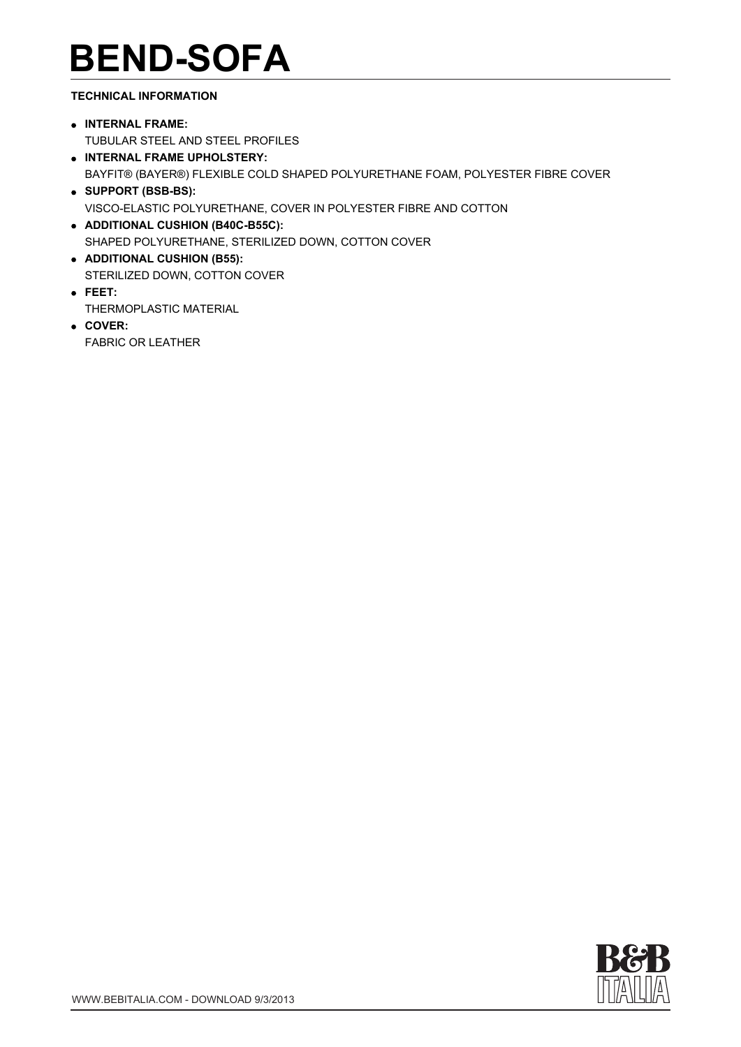#### **TECHNICAL INFORMATION**

- **INTERNAL FRAME:**  TUBULAR STEEL AND STEEL PROFILES
- **INTERNAL FRAME UPHOLSTERY:**  BAYFIT® (BAYER®) FLEXIBLE COLD SHAPED POLYURETHANE FOAM, POLYESTER FIBRE COVER **SUPPORT (BSB-BS):**
- VISCO-ELASTIC POLYURETHANE, COVER IN POLYESTER FIBRE AND COTTON
- **ADDITIONAL CUSHION (B40C-B55C):**  SHAPED POLYURETHANE, STERILIZED DOWN, COTTON COVER
- **ADDITIONAL CUSHION (B55):**  STERILIZED DOWN, COTTON COVER
- **FEET:**  THERMOPLASTIC MATERIAL
- **COVER:**  FABRIC OR LEATHER

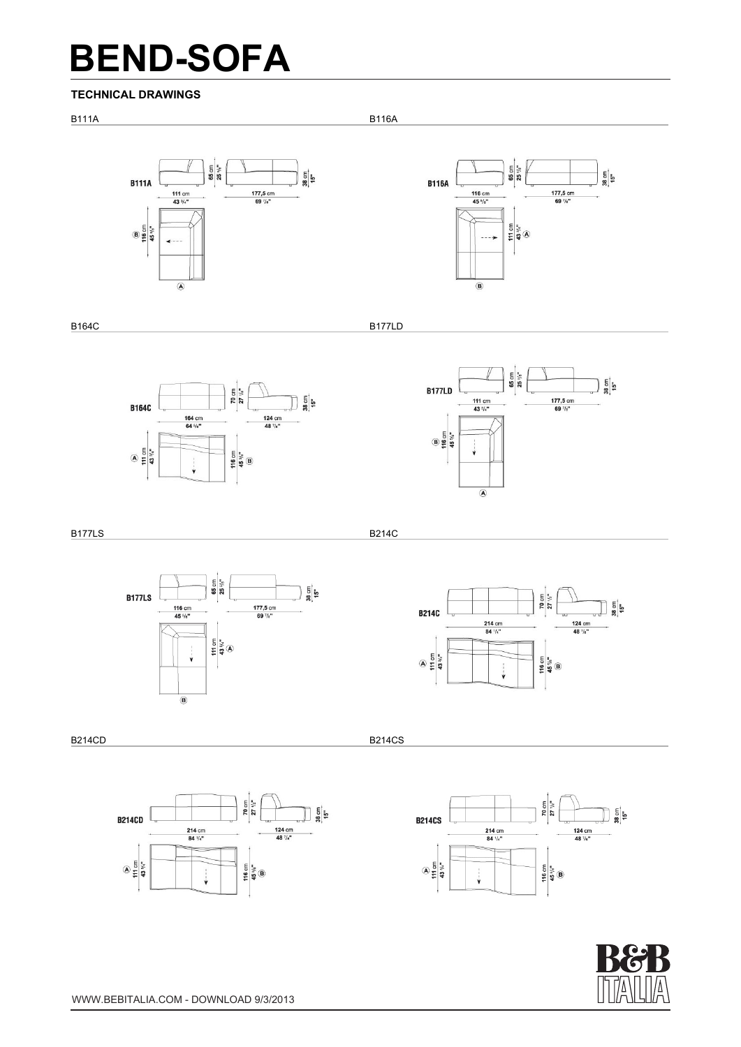#### **TECHNICAL DRAWINGS**

B111A B116A





B164C B177LD





B177LS B214C



70 cm<br>27  $\frac{1}{2}$ ្ត្រូ<br>ខ្ល<sup>ើ</sup>ង **B214C** 124 cm<br>48  $\frac{7}{8}$ 214 cm<br>84  $\frac{1}{4}$  $A = \frac{1}{2}$ 116 cm<br>45  $\frac{9}{3}$ <sup>18</sup>  $\overline{\bullet}$  - - -

B214CD B214CD B214CS B2010 B2010 B2010 B2010 B214CS





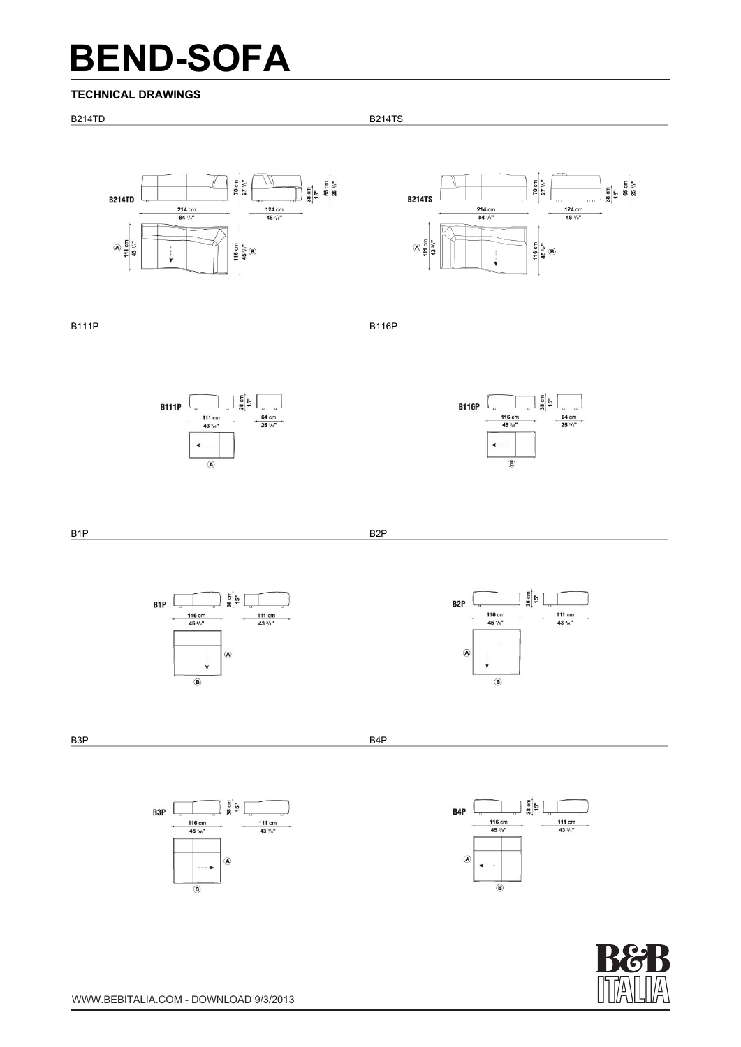#### **TECHNICAL DRAWINGS**







116 cm<br>45 %

 $\overline{\bullet}$ 

 $\overline{ }$ 

 $\circledR$ 

111 cm<br>43  $\frac{3}{4}$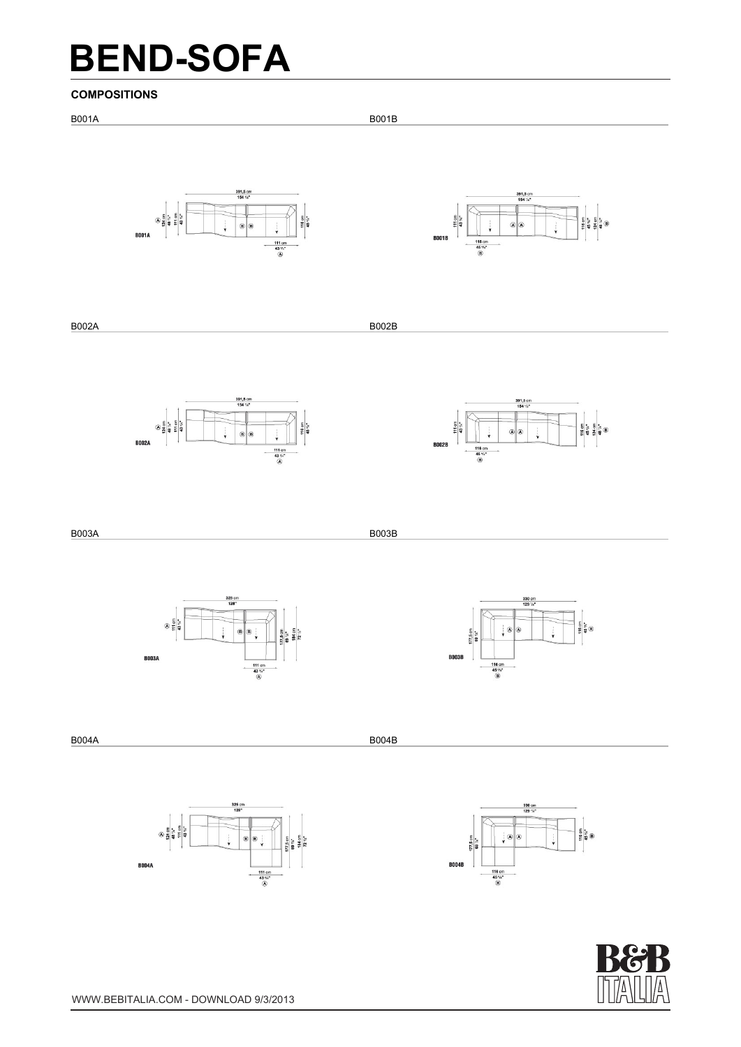#### **COMPOSITIONS**







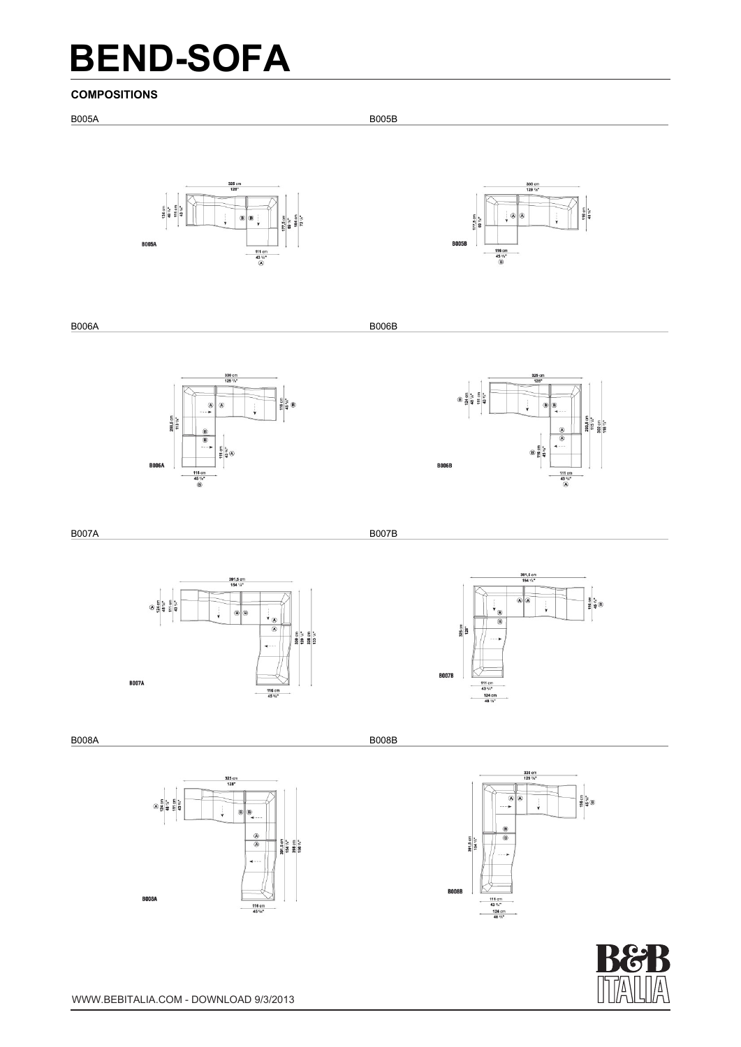#### **COMPOSITIONS**



**B007A** 



B008A B008B

**BOO7B** 

 $\begin{array}{c}\n\hline\n111 \text{ cm} \\
43 \frac{3}{4}n\text{ m} \\
124 \text{ cm} \\
48 \frac{1}{4}n\text{ m}\n\end{array}$ 



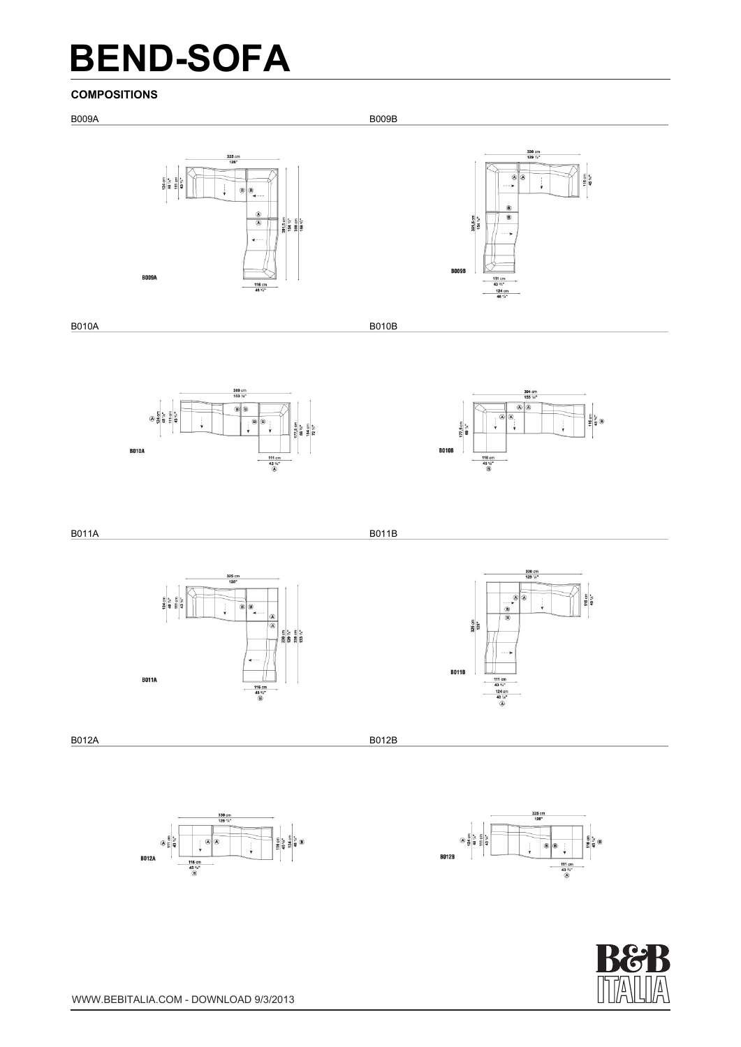#### **COMPOSITIONS**







B011A B011B





116 cm<br>45 %\*

B012A B012B





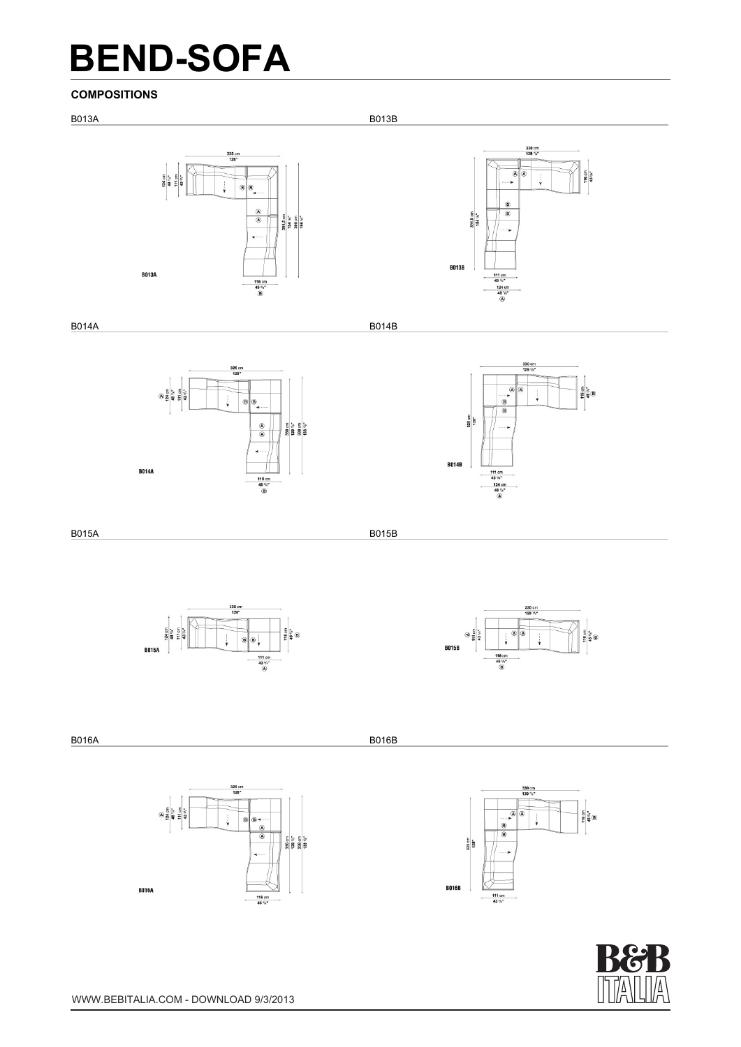#### **COMPOSITIONS**



B014A B014B





B015A B015B